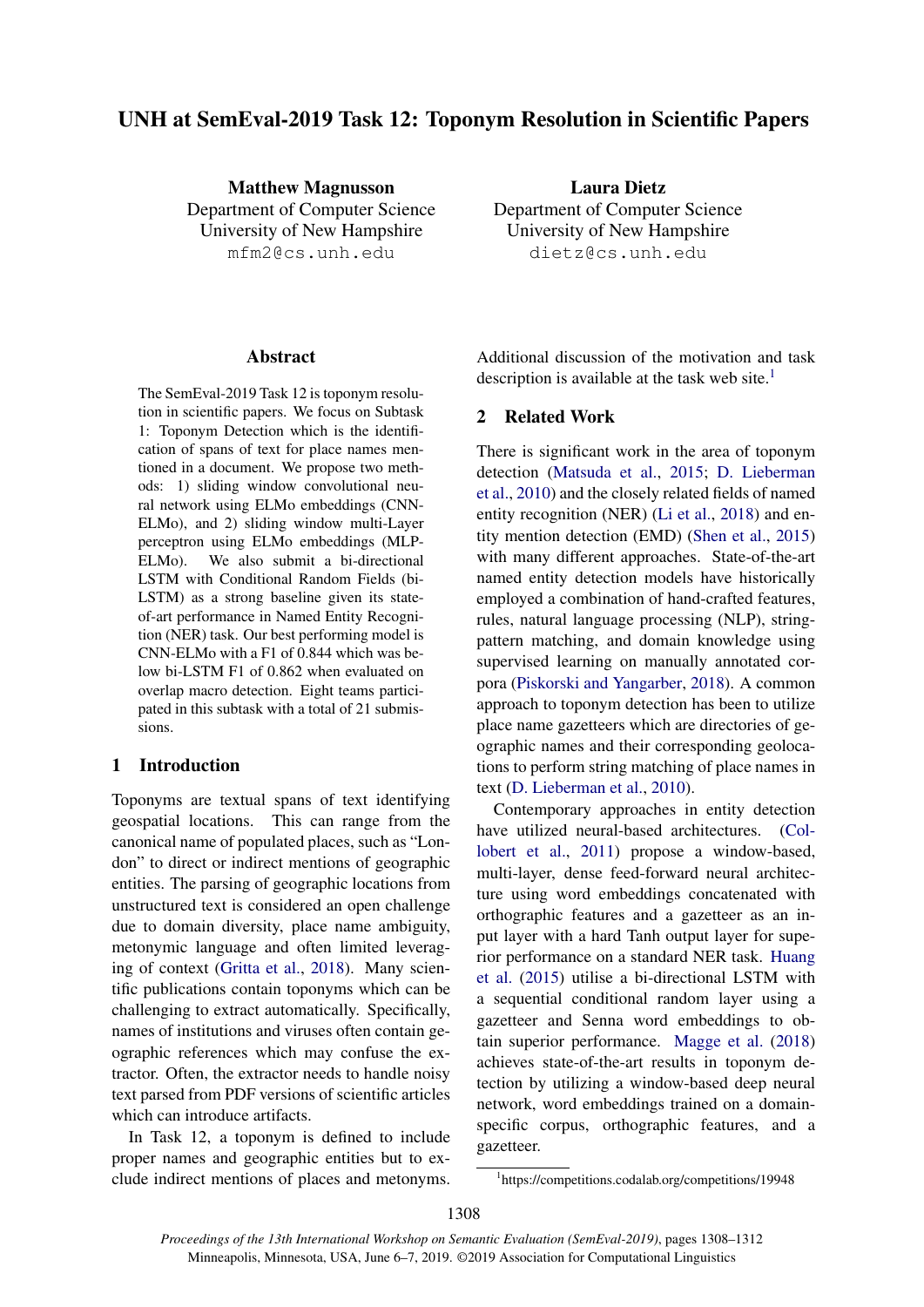# UNH at SemEval-2019 Task 12: Toponym Resolution in Scientific Papers

Matthew Magnusson Department of Computer Science University of New Hampshire mfm2@cs.unh.edu

## Abstract

The SemEval-2019 Task 12 is toponym resolution in scientific papers. We focus on Subtask 1: Toponym Detection which is the identification of spans of text for place names mentioned in a document. We propose two methods: 1) sliding window convolutional neural network using ELMo embeddings (CNN-ELMo), and 2) sliding window multi-Layer perceptron using ELMo embeddings (MLP-ELMo). We also submit a bi-directional LSTM with Conditional Random Fields (bi-LSTM) as a strong baseline given its stateof-art performance in Named Entity Recognition (NER) task. Our best performing model is CNN-ELMo with a F1 of 0.844 which was below bi-LSTM F1 of 0.862 when evaluated on overlap macro detection. Eight teams participated in this subtask with a total of 21 submissions.

# 1 Introduction

Toponyms are textual spans of text identifying geospatial locations. This can range from the canonical name of populated places, such as "London" to direct or indirect mentions of geographic entities. The parsing of geographic locations from unstructured text is considered an open challenge due to domain diversity, place name ambiguity, metonymic language and often limited leveraging of context [\(Gritta et al.,](#page-4-0) [2018\)](#page-4-0). Many scientific publications contain toponyms which can be challenging to extract automatically. Specifically, names of institutions and viruses often contain geographic references which may confuse the extractor. Often, the extractor needs to handle noisy text parsed from PDF versions of scientific articles which can introduce artifacts.

In Task 12, a toponym is defined to include proper names and geographic entities but to exclude indirect mentions of places and metonyms.

Laura Dietz Department of Computer Science University of New Hampshire dietz@cs.unh.edu

Additional discussion of the motivation and task description is available at the task web site. $<sup>1</sup>$  $<sup>1</sup>$  $<sup>1</sup>$ </sup>

# 2 Related Work

There is significant work in the area of toponym detection [\(Matsuda et al.,](#page-4-1) [2015;](#page-4-1) [D. Lieberman](#page-4-2) [et al.,](#page-4-2) [2010\)](#page-4-2) and the closely related fields of named entity recognition (NER) [\(Li et al.,](#page-4-3) [2018\)](#page-4-3) and entity mention detection (EMD) [\(Shen et al.,](#page-4-4) [2015\)](#page-4-4) with many different approaches. State-of-the-art named entity detection models have historically employed a combination of hand-crafted features, rules, natural language processing (NLP), stringpattern matching, and domain knowledge using supervised learning on manually annotated corpora [\(Piskorski and Yangarber,](#page-4-5) [2018\)](#page-4-5). A common approach to toponym detection has been to utilize place name gazetteers which are directories of geographic names and their corresponding geolocations to perform string matching of place names in text [\(D. Lieberman et al.,](#page-4-2) [2010\)](#page-4-2).

Contemporary approaches in entity detection have utilized neural-based architectures. [\(Col](#page-3-0)[lobert et al.,](#page-3-0) [2011\)](#page-3-0) propose a window-based, multi-layer, dense feed-forward neural architecture using word embeddings concatenated with orthographic features and a gazetteer as an input layer with a hard Tanh output layer for superior performance on a standard NER task. [Huang](#page-4-6) [et al.](#page-4-6) [\(2015\)](#page-4-6) utilise a bi-directional LSTM with a sequential conditional random layer using a gazetteer and Senna word embeddings to obtain superior performance. [Magge et al.](#page-4-7) [\(2018\)](#page-4-7) achieves state-of-the-art results in toponym detection by utilizing a window-based deep neural network, word embeddings trained on a domainspecific corpus, orthographic features, and a gazetteer.

<span id="page-0-0"></span><sup>1</sup> https://competitions.codalab.org/competitions/19948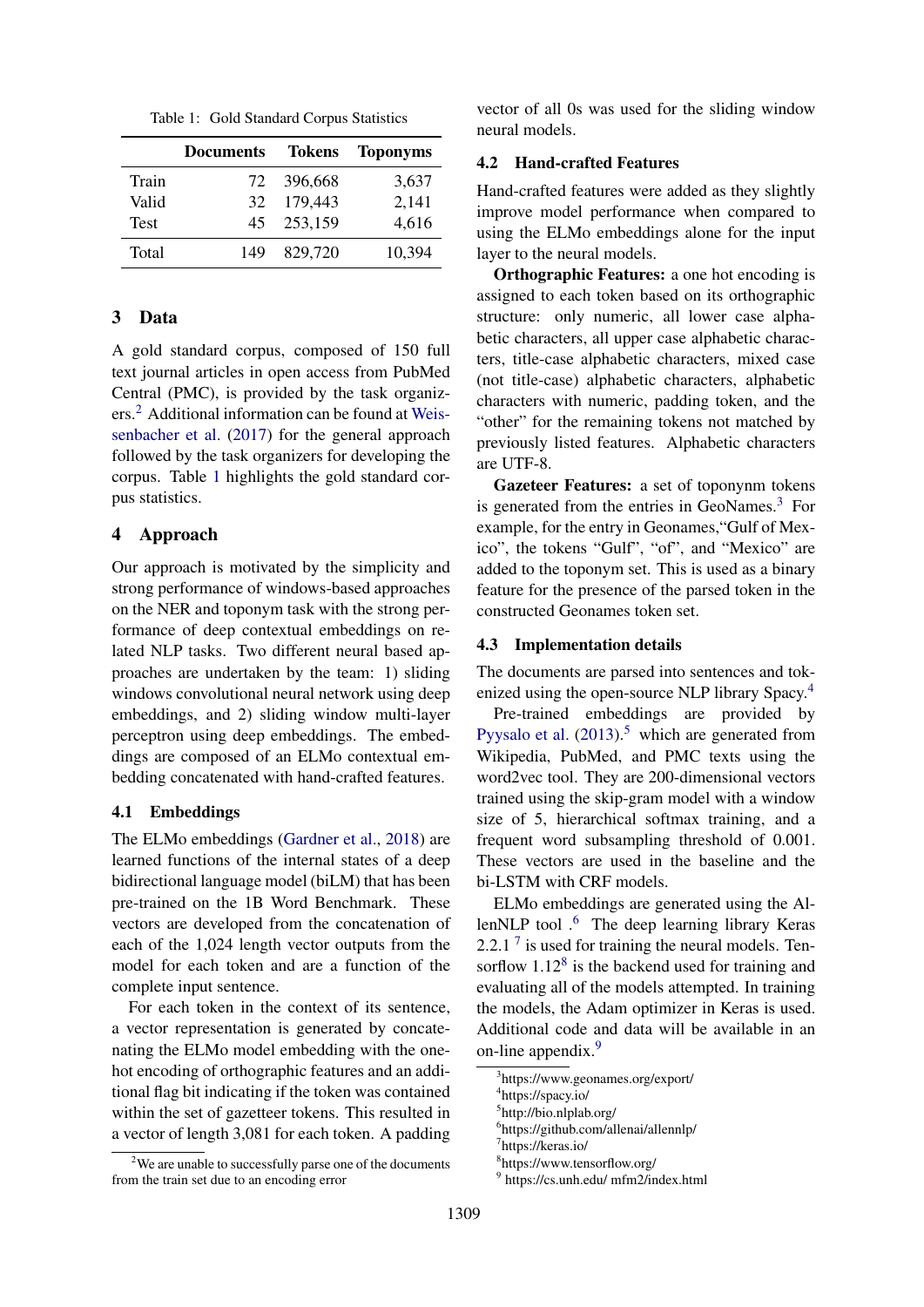<span id="page-1-1"></span>Table 1: Gold Standard Corpus Statistics

|             | <b>Documents</b> | Tokens  | <b>Toponyms</b> |
|-------------|------------------|---------|-----------------|
| Train       | 72               | 396,668 | 3,637           |
| Valid       | 32               | 179,443 | 2,141           |
| <b>Test</b> | 45               | 253,159 | 4,616           |
| Total       | 149              | 829,720 | 10,394          |

# 3 Data

A gold standard corpus, composed of 150 full text journal articles in open access from PubMed Central (PMC), is provided by the task organizers.[2](#page-1-0) Additional information can be found at [Weis](#page-4-8)[senbacher et al.](#page-4-8) [\(2017\)](#page-4-8) for the general approach followed by the task organizers for developing the corpus. Table [1](#page-1-1) highlights the gold standard corpus statistics.

## 4 Approach

Our approach is motivated by the simplicity and strong performance of windows-based approaches on the NER and toponym task with the strong performance of deep contextual embeddings on related NLP tasks. Two different neural based approaches are undertaken by the team: 1) sliding windows convolutional neural network using deep embeddings, and 2) sliding window multi-layer perceptron using deep embeddings. The embeddings are composed of an ELMo contextual embedding concatenated with hand-crafted features.

#### 4.1 Embeddings

The ELMo embeddings [\(Gardner et al.,](#page-4-9) [2018\)](#page-4-9) are learned functions of the internal states of a deep bidirectional language model (biLM) that has been pre-trained on the 1B Word Benchmark. These vectors are developed from the concatenation of each of the 1,024 length vector outputs from the model for each token and are a function of the complete input sentence.

For each token in the context of its sentence, a vector representation is generated by concatenating the ELMo model embedding with the onehot encoding of orthographic features and an additional flag bit indicating if the token was contained within the set of gazetteer tokens. This resulted in a vector of length 3,081 for each token. A padding

vector of all 0s was used for the sliding window neural models.

# 4.2 Hand-crafted Features

Hand-crafted features were added as they slightly improve model performance when compared to using the ELMo embeddings alone for the input layer to the neural models.

Orthographic Features: a one hot encoding is assigned to each token based on its orthographic structure: only numeric, all lower case alphabetic characters, all upper case alphabetic characters, title-case alphabetic characters, mixed case (not title-case) alphabetic characters, alphabetic characters with numeric, padding token, and the "other" for the remaining tokens not matched by previously listed features. Alphabetic characters are UTF-8.

Gazeteer Features: a set of toponynm tokens is generated from the entries in GeoNames.<sup>[3](#page-1-2)</sup> For example, for the entry in Geonames,"Gulf of Mexico", the tokens "Gulf", "of", and "Mexico" are added to the toponym set. This is used as a binary feature for the presence of the parsed token in the constructed Geonames token set.

#### 4.3 Implementation details

The documents are parsed into sentences and tokenized using the open-source NLP library Spacy.[4](#page-1-3)

Pre-trained embeddings are provided by [Pyysalo et al.](#page-4-10)  $(2013)^5$  $(2013)^5$  $(2013)^5$  which are generated from Wikipedia, PubMed, and PMC texts using the word2vec tool. They are 200-dimensional vectors trained using the skip-gram model with a window size of 5, hierarchical softmax training, and a frequent word subsampling threshold of 0.001. These vectors are used in the baseline and the bi-LSTM with CRF models.

ELMo embeddings are generated using the Al-lenNLP tool .<sup>[6](#page-1-5)</sup> The deep learning library Keras 2.2.1<sup>[7](#page-1-6)</sup> is used for training the neural models. Tensorflow  $1.12<sup>8</sup>$  $1.12<sup>8</sup>$  $1.12<sup>8</sup>$  is the backend used for training and evaluating all of the models attempted. In training the models, the Adam optimizer in Keras is used. Additional code and data will be available in an on-line appendix.<sup>[9](#page-1-8)</sup>

<span id="page-1-0"></span><sup>&</sup>lt;sup>2</sup>We are unable to successfully parse one of the documents from the train set due to an encoding error

<span id="page-1-2"></span><sup>3</sup> https://www.geonames.org/export/

<span id="page-1-3"></span><sup>4</sup> https://spacy.io/

<span id="page-1-4"></span><sup>5</sup> http://bio.nlplab.org/

<span id="page-1-5"></span><sup>6</sup> https://github.com/allenai/allennlp/

<span id="page-1-6"></span><sup>7</sup> https://keras.io/

<span id="page-1-7"></span><sup>8</sup> https://www.tensorflow.org/

<span id="page-1-8"></span><sup>9</sup> https://cs.unh.edu/ mfm2/index.html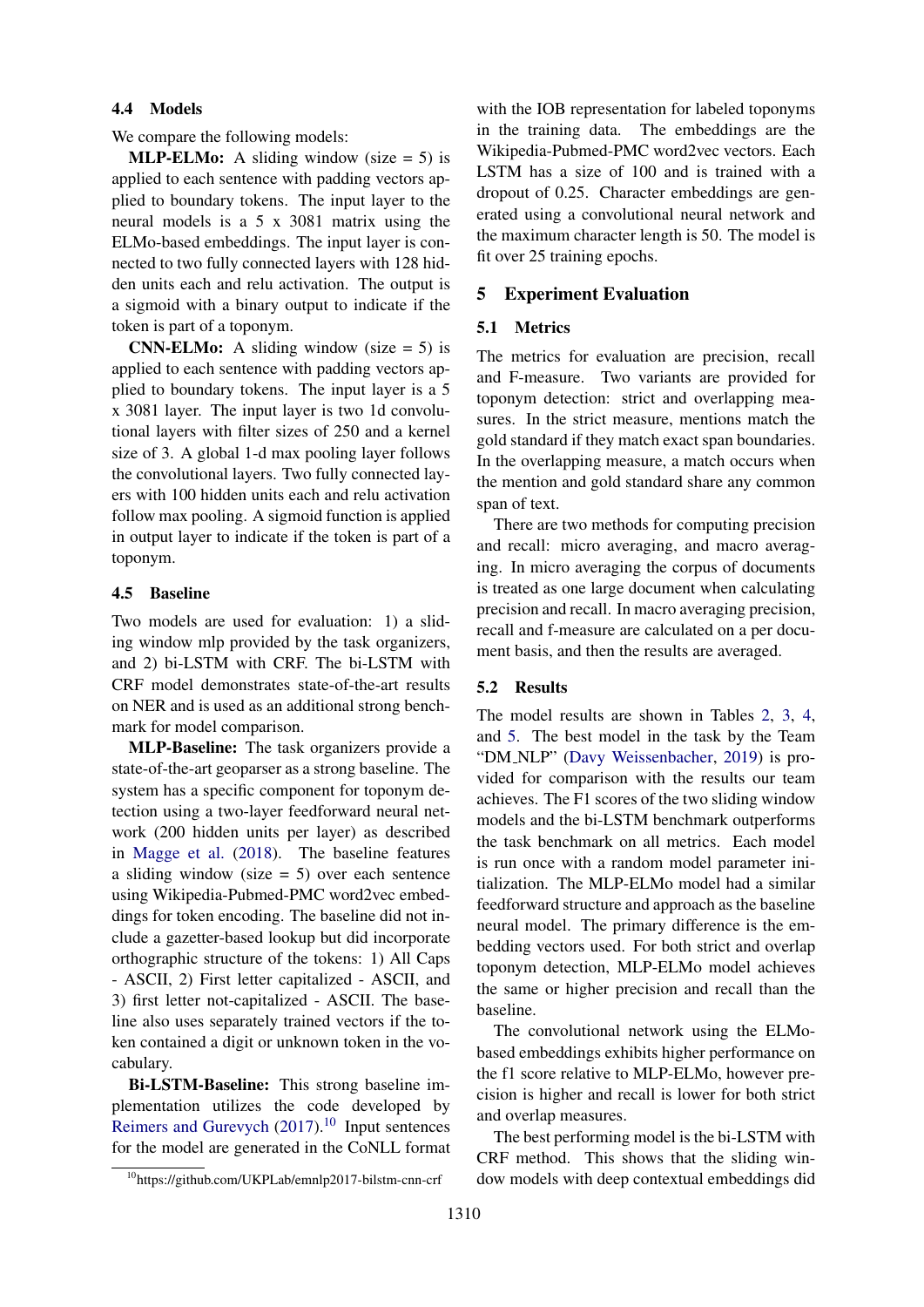## 4.4 Models

We compare the following models:

**MLP-ELMo:** A sliding window (size  $= 5$ ) is applied to each sentence with padding vectors applied to boundary tokens. The input layer to the neural models is a 5 x 3081 matrix using the ELMo-based embeddings. The input layer is connected to two fully connected layers with 128 hidden units each and relu activation. The output is a sigmoid with a binary output to indicate if the token is part of a toponym.

**CNN-ELMo:** A sliding window (size  $= 5$ ) is applied to each sentence with padding vectors applied to boundary tokens. The input layer is a 5 x 3081 layer. The input layer is two 1d convolutional layers with filter sizes of 250 and a kernel size of 3. A global 1-d max pooling layer follows the convolutional layers. Two fully connected layers with 100 hidden units each and relu activation follow max pooling. A sigmoid function is applied in output layer to indicate if the token is part of a toponym.

## 4.5 Baseline

Two models are used for evaluation: 1) a sliding window mlp provided by the task organizers, and 2) bi-LSTM with CRF. The bi-LSTM with CRF model demonstrates state-of-the-art results on NER and is used as an additional strong benchmark for model comparison.

MLP-Baseline: The task organizers provide a state-of-the-art geoparser as a strong baseline. The system has a specific component for toponym detection using a two-layer feedforward neural network (200 hidden units per layer) as described in [Magge et al.](#page-4-7) [\(2018\)](#page-4-7). The baseline features a sliding window (size  $= 5$ ) over each sentence using Wikipedia-Pubmed-PMC word2vec embeddings for token encoding. The baseline did not include a gazetter-based lookup but did incorporate orthographic structure of the tokens: 1) All Caps - ASCII, 2) First letter capitalized - ASCII, and 3) first letter not-capitalized - ASCII. The baseline also uses separately trained vectors if the token contained a digit or unknown token in the vocabulary.

Bi-LSTM-Baseline: This strong baseline implementation utilizes the code developed by [Reimers and Gurevych](#page-4-11)  $(2017).<sup>10</sup>$  $(2017).<sup>10</sup>$  $(2017).<sup>10</sup>$  $(2017).<sup>10</sup>$  Input sentences for the model are generated in the CoNLL format with the IOB representation for labeled toponyms in the training data. The embeddings are the Wikipedia-Pubmed-PMC word2vec vectors. Each LSTM has a size of 100 and is trained with a dropout of 0.25. Character embeddings are generated using a convolutional neural network and the maximum character length is 50. The model is fit over 25 training epochs.

## 5 Experiment Evaluation

#### 5.1 Metrics

The metrics for evaluation are precision, recall and F-measure. Two variants are provided for toponym detection: strict and overlapping measures. In the strict measure, mentions match the gold standard if they match exact span boundaries. In the overlapping measure, a match occurs when the mention and gold standard share any common span of text.

There are two methods for computing precision and recall: micro averaging, and macro averaging. In micro averaging the corpus of documents is treated as one large document when calculating precision and recall. In macro averaging precision, recall and f-measure are calculated on a per document basis, and then the results are averaged.

# 5.2 Results

The model results are shown in Tables [2,](#page-3-1) [3,](#page-3-2) [4,](#page-3-3) and [5.](#page-3-4) The best model in the task by the Team "DM NLP" [\(Davy Weissenbacher,](#page-4-12) [2019\)](#page-4-12) is provided for comparison with the results our team achieves. The F1 scores of the two sliding window models and the bi-LSTM benchmark outperforms the task benchmark on all metrics. Each model is run once with a random model parameter initialization. The MLP-ELMo model had a similar feedforward structure and approach as the baseline neural model. The primary difference is the embedding vectors used. For both strict and overlap toponym detection, MLP-ELMo model achieves the same or higher precision and recall than the baseline.

The convolutional network using the ELMobased embeddings exhibits higher performance on the f1 score relative to MLP-ELMo, however precision is higher and recall is lower for both strict and overlap measures.

The best performing model is the bi-LSTM with CRF method. This shows that the sliding window models with deep contextual embeddings did

<span id="page-2-0"></span><sup>10</sup>https://github.com/UKPLab/emnlp2017-bilstm-cnn-crf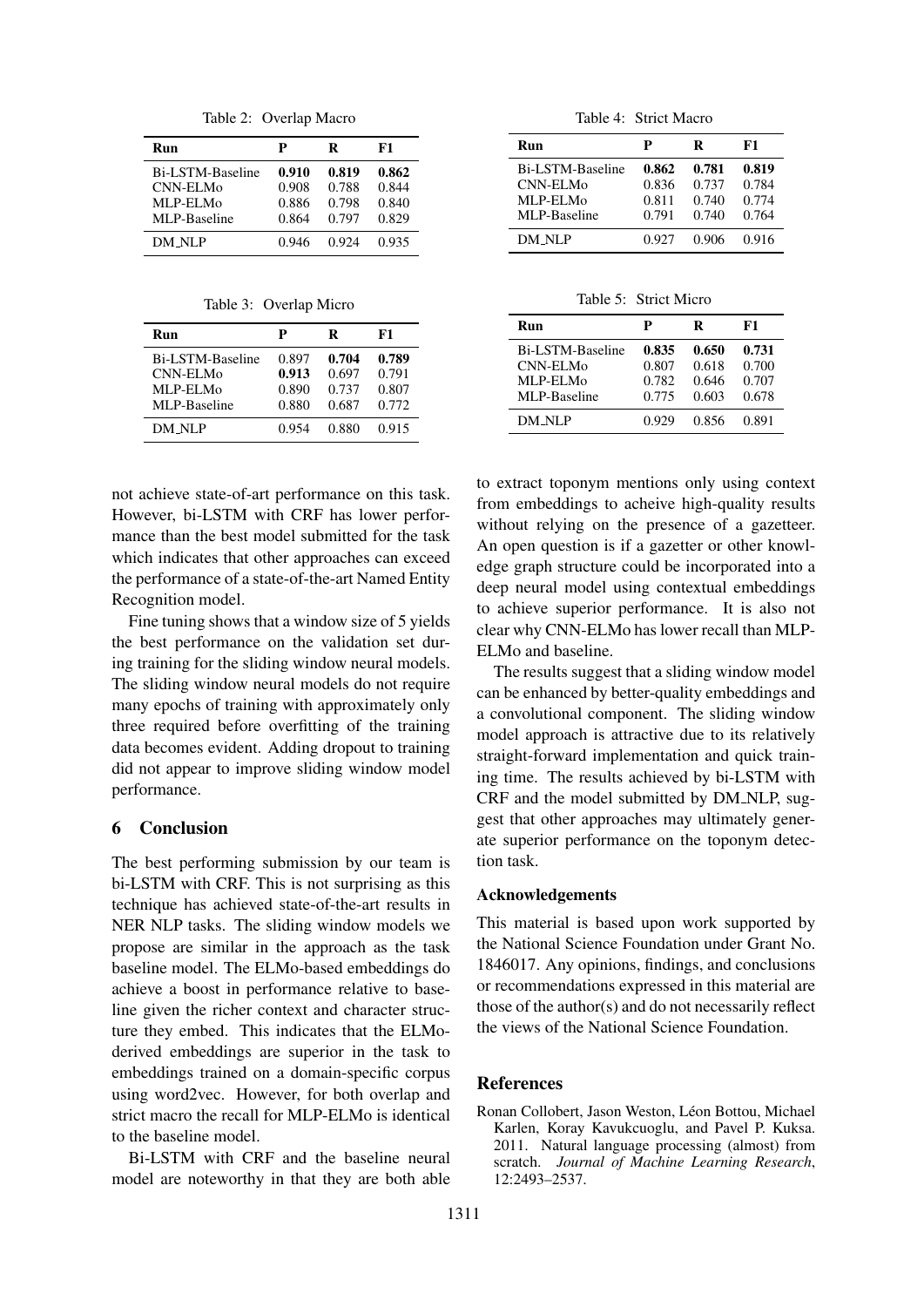<span id="page-3-1"></span>Table 2: Overlap Macro

| Run              | P     | R     | F1    |
|------------------|-------|-------|-------|
| Bi-LSTM-Baseline | 0.910 | 0.819 | 0.862 |
| <b>CNN-ELMo</b>  | 0.908 | 0.788 | 0.844 |
| MLP-ELMo         | 0.886 | 0.798 | 0.840 |
| MLP-Baseline     | 0.864 | 0.797 | 0.829 |
| DM NLP           | 0.946 | 0.924 | 0.935 |

<span id="page-3-2"></span>Table 3: Overlap Micro

| Run              | р     | R     | F1    |
|------------------|-------|-------|-------|
| Bi-LSTM-Baseline | 0.897 | 0.704 | 0.789 |
| CNN-ELM0         | 0.913 | 0.697 | 0.791 |
| MLP-ELMo         | 0.890 | 0.737 | 0.807 |
| MLP-Baseline     | 0.880 | 0.687 | 0.772 |
| DM_NLP           | 0.954 | 0.880 | 0.915 |

not achieve state-of-art performance on this task. However, bi-LSTM with CRF has lower performance than the best model submitted for the task which indicates that other approaches can exceed the performance of a state-of-the-art Named Entity Recognition model.

Fine tuning shows that a window size of 5 yields the best performance on the validation set during training for the sliding window neural models. The sliding window neural models do not require many epochs of training with approximately only three required before overfitting of the training data becomes evident. Adding dropout to training did not appear to improve sliding window model performance.

# 6 Conclusion

The best performing submission by our team is bi-LSTM with CRF. This is not surprising as this technique has achieved state-of-the-art results in NER NLP tasks. The sliding window models we propose are similar in the approach as the task baseline model. The ELMo-based embeddings do achieve a boost in performance relative to baseline given the richer context and character structure they embed. This indicates that the ELModerived embeddings are superior in the task to embeddings trained on a domain-specific corpus using word2vec. However, for both overlap and strict macro the recall for MLP-ELMo is identical to the baseline model.

Bi-LSTM with CRF and the baseline neural model are noteworthy in that they are both able

<span id="page-3-3"></span>Table 4: Strict Macro

| Run              | P     | R     | F1    |
|------------------|-------|-------|-------|
| Bi-LSTM-Baseline | 0.862 | 0.781 | 0.819 |
| CNN-ELMo         | 0.836 | 0.737 | 0.784 |
| MLP-ELMo         | 0.811 | 0.740 | 0.774 |
| MLP-Baseline     | 0.791 | 0.740 | 0.764 |
| DM_NLP           | 0.927 | 0.906 | 0.916 |

<span id="page-3-4"></span>Table 5: Strict Micro

| Run              | P     | R     | F1    |
|------------------|-------|-------|-------|
| Bi-LSTM-Baseline | 0.835 | 0.650 | 0.731 |
| CNN-ELMo         | 0.807 | 0.618 | 0.700 |
| MLP-ELMo         | 0.782 | 0.646 | 0.707 |
| MLP-Baseline     | 0.775 | 0.603 | 0.678 |
| DM NLP           | 0.929 | 0.856 | 0.891 |

to extract toponym mentions only using context from embeddings to acheive high-quality results without relying on the presence of a gazetteer. An open question is if a gazetter or other knowledge graph structure could be incorporated into a deep neural model using contextual embeddings to achieve superior performance. It is also not clear why CNN-ELMo has lower recall than MLP-ELMo and baseline.

The results suggest that a sliding window model can be enhanced by better-quality embeddings and a convolutional component. The sliding window model approach is attractive due to its relatively straight-forward implementation and quick training time. The results achieved by bi-LSTM with CRF and the model submitted by DM NLP, suggest that other approaches may ultimately generate superior performance on the toponym detection task.

#### Acknowledgements

This material is based upon work supported by the National Science Foundation under Grant No. 1846017. Any opinions, findings, and conclusions or recommendations expressed in this material are those of the author(s) and do not necessarily reflect the views of the National Science Foundation.

#### **References**

<span id="page-3-0"></span>Ronan Collobert, Jason Weston, Léon Bottou, Michael Karlen, Koray Kavukcuoglu, and Pavel P. Kuksa. 2011. Natural language processing (almost) from scratch. *Journal of Machine Learning Research*, 12:2493–2537.